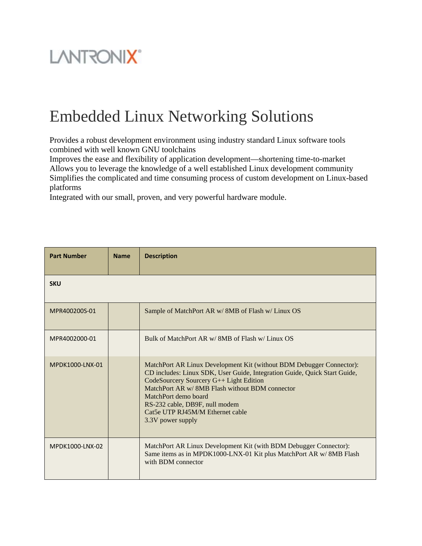## **LANTRONIX®**

## Embedded Linux Networking Solutions

Provides a robust development environment using industry standard Linux software tools combined with well known GNU toolchains

Improves the ease and flexibility of application development—shortening time-to-market Allows you to leverage the knowledge of a well established Linux development community Simplifies the complicated and time consuming process of custom development on Linux-based platforms

Integrated with our small, proven, and very powerful hardware module.

| <b>Part Number</b> | <b>Name</b> | <b>Description</b>                                                                                                                                                                                                                                                                                                                                                 |
|--------------------|-------------|--------------------------------------------------------------------------------------------------------------------------------------------------------------------------------------------------------------------------------------------------------------------------------------------------------------------------------------------------------------------|
| <b>SKU</b>         |             |                                                                                                                                                                                                                                                                                                                                                                    |
| MPR400200S-01      |             | Sample of MatchPort AR w/ 8MB of Flash w/ Linux OS                                                                                                                                                                                                                                                                                                                 |
| MPR4002000-01      |             | Bulk of MatchPort AR w/8MB of Flash w/Linux OS                                                                                                                                                                                                                                                                                                                     |
| MPDK1000-LNX-01    |             | MatchPort AR Linux Development Kit (without BDM Debugger Connector):<br>CD includes: Linux SDK, User Guide, Integration Guide, Quick Start Guide,<br>CodeSourcery Sourcery G++ Light Edition<br>MatchPort AR w/ 8MB Flash without BDM connector<br>MatchPort demo board<br>RS-232 cable, DB9F, null modem<br>Cat5e UTP RJ45M/M Ethernet cable<br>3.3V power supply |
| MPDK1000-LNX-02    |             | MatchPort AR Linux Development Kit (with BDM Debugger Connector):<br>Same items as in MPDK1000-LNX-01 Kit plus MatchPort AR w/8MB Flash<br>with BDM connector                                                                                                                                                                                                      |